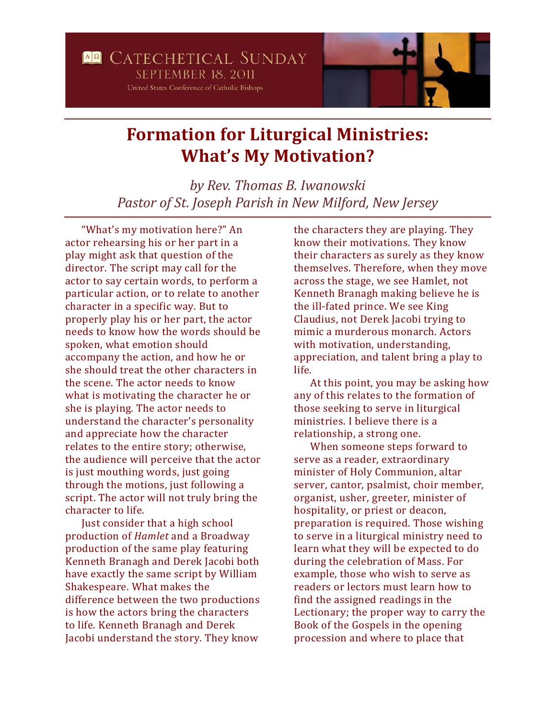## **Formation for Liturgical Ministries: What's My Motivation?**

*by Rev. Thomas B. Iwanowski Pastor of St. Joseph Parish in New Milford, New Jersey*

"What's my motivation here?" An actor rehearsing his or her part in a play might ask that question of the director. The script may call for the actor to say certain words, to perform a particular action, or to relate to another character in a specific way. But to properly play his or her part, the actor needs to know how the words should be spoken, what emotion should accompany the action, and how he or she should treat the other characters in the scene. The actor needs to know what is motivating the character he or she is playing. The actor needs to understand the character's personality and appreciate how the character relates to the entire story; otherwise, the audience will perceive that the actor is just mouthing words, just going through the motions, just following a script. The actor will not truly bring the character to life.

Just consider that a high school production of *Hamlet* and a Broadway production of the same play featuring Kenneth Branagh and Derek Jacobi both have exactly the same script by William Shakespeare. What makes the difference between the two productions is how the actors bring the characters to life. Kenneth Branagh and Derek Jacobi understand the story. They know

the characters they are playing. They know their motivations. They know their characters as surely as they know themselves. Therefore, when they move across the stage, we see Hamlet, not Kenneth Branagh making believe he is the ill-fated prince. We see King Claudius, not Derek Jacobi trying to mimic a murderous monarch. Actors with motivation, understanding, appreciation, and talent bring a play to life.

At this point, you may be asking how any of this relates to the formation of those seeking to serve in liturgical ministries. I believe there is a relationship, a strong one.

When someone steps forward to serve as a reader, extraordinary minister of Holy Communion, altar server, cantor, psalmist, choir member, organist, usher, greeter, minister of hospitality, or priest or deacon, preparation is required. Those wishing to serve in a liturgical ministry need to learn what they will be expected to do during the celebration of Mass. For example, those who wish to serve as readers or lectors must learn how to find the assigned readings in the Lectionary; the proper way to carry the Book of the Gospels in the opening procession and where to place that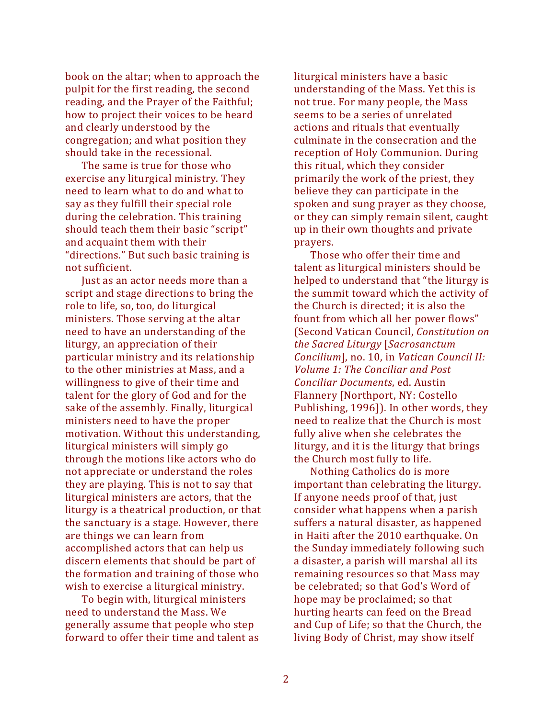book on the altar; when to approach the pulpit for the first reading, the second reading, and the Prayer of the Faithful; how to project their voices to be heard and clearly understood by the congregation; and what position they should take in the recessional.

The same is true for those who exercise any liturgical ministry. They need to learn what to do and what to say as they fulfill their special role during the celebration. This training should teach them their basic "script" and acquaint them with their "directions." But such basic training is not sufficient.

Just as an actor needs more than a script and stage directions to bring the role to life, so, too, do liturgical ministers. Those serving at the altar need to have an understanding of the liturgy, an appreciation of their particular ministry and its relationship to the other ministries at Mass, and a willingness to give of their time and talent for the glory of God and for the sake of the assembly. Finally, liturgical ministers need to have the proper motivation. Without this understanding, liturgical ministers will simply go through the motions like actors who do not appreciate or understand the roles they are playing. This is not to say that liturgical ministers are actors, that the liturgy is a theatrical production, or that the sanctuary is a stage. However, there are things we can learn from accomplished actors that can help us discern elements that should be part of the formation and training of those who wish to exercise a liturgical ministry.

To begin with, liturgical ministers need to understand the Mass. We generally assume that people who step forward to offer their time and talent as liturgical ministers have a basic understanding of the Mass. Yet this is not true. For many people, the Mass seems to be a series of unrelated actions and rituals that eventually culminate in the consecration and the reception of Holy Communion. During this ritual, which they consider primarily the work of the priest, they believe they can participate in the spoken and sung prayer as they choose, or they can simply remain silent, caught up in their own thoughts and private prayers.

Those who offer their time and talent as liturgical ministers should be helped to understand that "the liturgy is the summit toward which the activity of the Church is directed; it is also the fount from which all her power flows" (Second Vatican Council, *Constitution on the Sacred Liturgy* [*Sacrosanctum Concilium*], no. 10, in *Vatican Council II: Volume 1: The Conciliar and Post Conciliar Documents*, ed. Austin Flannery [Northport, NY: Costello Publishing, 1996]). In other words, they need to realize that the Church is most fully alive when she celebrates the liturgy, and it is the liturgy that brings the Church most fully to life.

Nothing Catholics do is more important than celebrating the liturgy. If anyone needs proof of that, just consider what happens when a parish suffers a natural disaster, as happened in Haiti after the 2010 earthquake. On the Sunday immediately following such a disaster, a parish will marshal all its remaining resources so that Mass may be celebrated; so that God's Word of hope may be proclaimed; so that hurting hearts can feed on the Bread and Cup of Life; so that the Church, the living Body of Christ, may show itself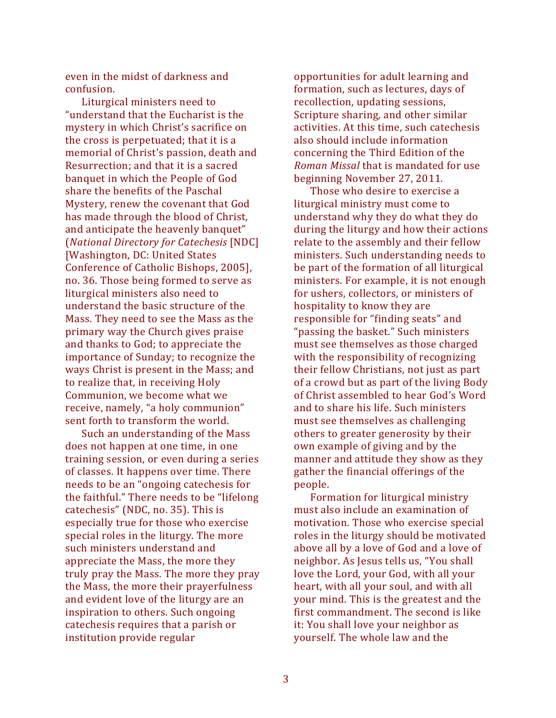even in the midst of darkness and confusion.

Liturgical ministers need to "understand that the Eucharist is the mystery in which Christ's sacrifice on the cross is perpetuated; that it is a memorial of Christ's passion, death and Resurrection; and that it is a sacred banquet in which the People of God share the benefits of the Paschal Mystery, renew the covenant that God has made through the blood of Christ, and anticipate the heavenly banquet" (*National Directory for Catechesis* [NDC] [Washington, DC: United States Conference of Catholic Bishops, 2005], no. 36. Those being formed to serve as liturgical ministers also need to understand the basic structure of the Mass. They need to see the Mass as the primary way the Church gives praise and thanks to God; to appreciate the importance of Sunday; to recognize the ways Christ is present in the Mass; and to realize that, in receiving Holy Communion, we become what we receive, namely, "a holy communion" sent forth to transform the world.

Such an understanding of the Mass does not happen at one time, in one training session, or even during a series of classes. It happens over time. There needs to be an "ongoing catechesis for the faithful." There needs to be "lifelong catechesis" (NDC, no. 35). This is especially true for those who exercise special roles in the liturgy. The more such ministers understand and appreciate the Mass, the more they truly pray the Mass. The more they pray the Mass, the more their prayerfulness and evident love of the liturgy are an inspiration to others. Such ongoing catechesis requires that a parish or institution provide regular

opportunities for adult learning and formation, such as lectures, days of recollection, updating sessions, Scripture sharing, and other similar activities. At this time, such catechesis also should include information concerning the Third Edition of the *Roman Missal* that is mandated for use beginning November 27, 2011.

Those who desire to exercise a liturgical ministry must come to understand why they do what they do during the liturgy and how their actions relate to the assembly and their fellow ministers. Such understanding needs to be part of the formation of all liturgical ministers. For example, it is not enough for ushers, collectors, or ministers of hospitality to know they are responsible for "finding seats" and "passing the basket." Such ministers must see themselves as those charged with the responsibility of recognizing their fellow Christians, not just as part of a crowd but as part of the living Body of Christ assembled to hear God's Word and to share his life. Such ministers must see themselves as challenging others to greater generosity by their own example of giving and by the manner and attitude they show as they gather the financial offerings of the people.

Formation for liturgical ministry must also include an examination of motivation. Those who exercise special roles in the liturgy should be motivated above all by a love of God and a love of neighbor. As Jesus tells us, "You shall love the Lord, your God, with all your heart, with all your soul, and with all your mind. This is the greatest and the first commandment. The second is like it: You shall love your neighbor as yourself. The whole law and the